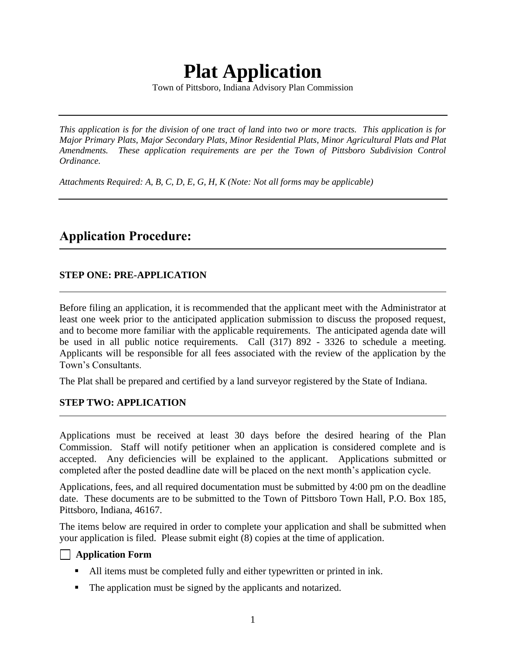# **Plat Application**

Town of Pittsboro, Indiana Advisory Plan Commission

*This application is for the division of one tract of land into two or more tracts. This application is for Major Primary Plats, Major Secondary Plats, Minor Residential Plats, Minor Agricultural Plats and Plat Amendments. These application requirements are per the Town of Pittsboro Subdivision Control Ordinance.*

*Attachments Required: A, B, C, D, E, G, H, K (Note: Not all forms may be applicable)*

# **Application Procedure:**

#### **STEP ONE: PRE-APPLICATION**

Before filing an application, it is recommended that the applicant meet with the Administrator at least one week prior to the anticipated application submission to discuss the proposed request, and to become more familiar with the applicable requirements. The anticipated agenda date will be used in all public notice requirements. Call (317) 892 - 3326 to schedule a meeting. Applicants will be responsible for all fees associated with the review of the application by the Town's Consultants.

The Plat shall be prepared and certified by a land surveyor registered by the State of Indiana.

#### **STEP TWO: APPLICATION**

Applications must be received at least 30 days before the desired hearing of the Plan Commission. Staff will notify petitioner when an application is considered complete and is accepted. Any deficiencies will be explained to the applicant. Applications submitted or completed after the posted deadline date will be placed on the next month's application cycle.

Applications, fees, and all required documentation must be submitted by 4:00 pm on the deadline date. These documents are to be submitted to the Town of Pittsboro Town Hall, P.O. Box 185, Pittsboro, Indiana, 46167.

The items below are required in order to complete your application and shall be submitted when your application is filed. Please submit eight (8) copies at the time of application.

#### **Application Form**

- All items must be completed fully and either typewritten or printed in ink.
- The application must be signed by the applicants and notarized.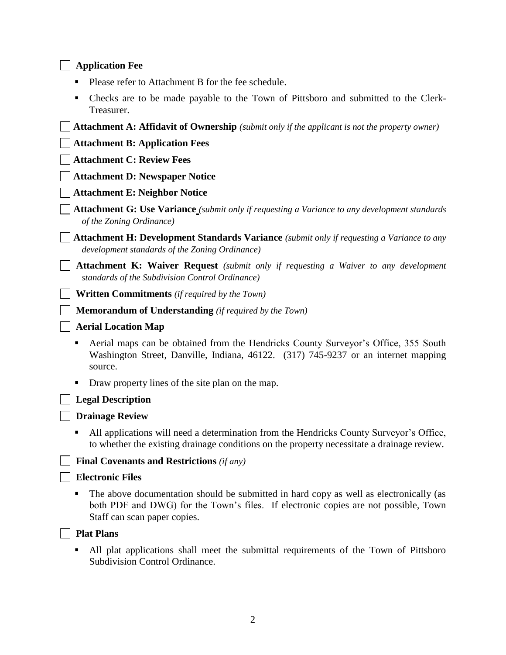#### **Application Fee**

- **Please refer to Attachment B for the fee schedule.**
- Checks are to be made payable to the Town of Pittsboro and submitted to the Clerk-Treasurer.

**Attachment A: Affidavit of Ownership** *(submit only if the applicant is not the property owner)* **Attachment B: Application Fees Attachment C: Review Fees Attachment D: Newspaper Notice Attachment E: Neighbor Notice Attachment G: Use Variance** *(submit only if requesting a Variance to any development standards of the Zoning Ordinance)* **Attachment H: Development Standards Variance** *(submit only if requesting a Variance to any development standards of the Zoning Ordinance)* **Attachment K: Waiver Request** *(submit only if requesting a Waiver to any development standards of the Subdivision Control Ordinance)* **Written Commitments** *(if required by the Town)* **Memorandum of Understanding** *(if required by the Town)* **Aerial Location Map** Aerial maps can be obtained from the Hendricks County Surveyor's Office, 355 South Washington Street, Danville, Indiana, 46122. (317) 745-9237 or an internet mapping source. Draw property lines of the site plan on the map. **Legal Description Drainage Review**

 All applications will need a determination from the Hendricks County Surveyor's Office, to whether the existing drainage conditions on the property necessitate a drainage review.

 **Final Covenants and Restrictions** *(if any)*

#### **Electronic Files**

 The above documentation should be submitted in hard copy as well as electronically (as both PDF and DWG) for the Town's files. If electronic copies are not possible, Town Staff can scan paper copies.

#### **Plat Plans**

 All plat applications shall meet the submittal requirements of the Town of Pittsboro Subdivision Control Ordinance.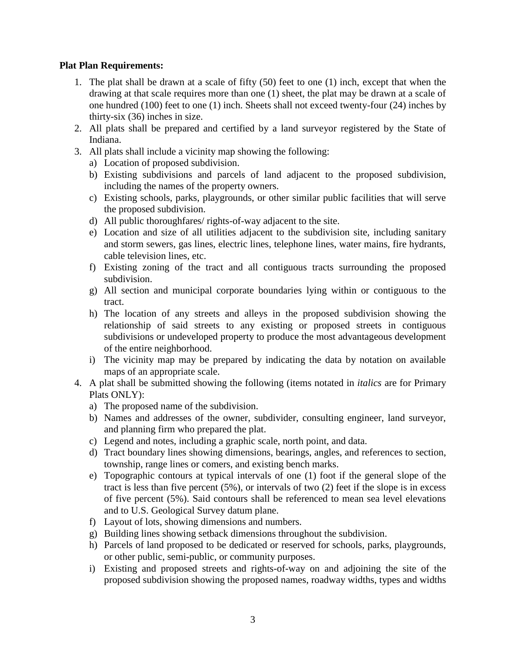#### **Plat Plan Requirements:**

- 1. The plat shall be drawn at a scale of fifty (50) feet to one (1) inch, except that when the drawing at that scale requires more than one (1) sheet, the plat may be drawn at a scale of one hundred (100) feet to one (1) inch. Sheets shall not exceed twenty-four (24) inches by thirty-six (36) inches in size.
- 2. All plats shall be prepared and certified by a land surveyor registered by the State of Indiana.
- 3. All plats shall include a vicinity map showing the following:
	- a) Location of proposed subdivision.
	- b) Existing subdivisions and parcels of land adjacent to the proposed subdivision, including the names of the property owners.
	- c) Existing schools, parks, playgrounds, or other similar public facilities that will serve the proposed subdivision.
	- d) All public thoroughfares/ rights-of-way adjacent to the site.
	- e) Location and size of all utilities adjacent to the subdivision site, including sanitary and storm sewers, gas lines, electric lines, telephone lines, water mains, fire hydrants, cable television lines, etc.
	- f) Existing zoning of the tract and all contiguous tracts surrounding the proposed subdivision.
	- g) All section and municipal corporate boundaries lying within or contiguous to the tract.
	- h) The location of any streets and alleys in the proposed subdivision showing the relationship of said streets to any existing or proposed streets in contiguous subdivisions or undeveloped property to produce the most advantageous development of the entire neighborhood.
	- i) The vicinity map may be prepared by indicating the data by notation on available maps of an appropriate scale.
- 4. A plat shall be submitted showing the following (items notated in *italics* are for Primary Plats ONLY):
	- a) The proposed name of the subdivision.
	- b) Names and addresses of the owner, subdivider, consulting engineer, land surveyor, and planning firm who prepared the plat.
	- c) Legend and notes, including a graphic scale, north point, and data.
	- d) Tract boundary lines showing dimensions, bearings, angles, and references to section, township, range lines or comers, and existing bench marks.
	- e) Topographic contours at typical intervals of one (1) foot if the general slope of the tract is less than five percent (5%), or intervals of two (2) feet if the slope is in excess of five percent (5%). Said contours shall be referenced to mean sea level elevations and to U.S. Geological Survey datum plane.
	- f) Layout of lots, showing dimensions and numbers.
	- g) Building lines showing setback dimensions throughout the subdivision.
	- h) Parcels of land proposed to be dedicated or reserved for schools, parks, playgrounds, or other public, semi-public, or community purposes.
	- i) Existing and proposed streets and rights-of-way on and adjoining the site of the proposed subdivision showing the proposed names, roadway widths, types and widths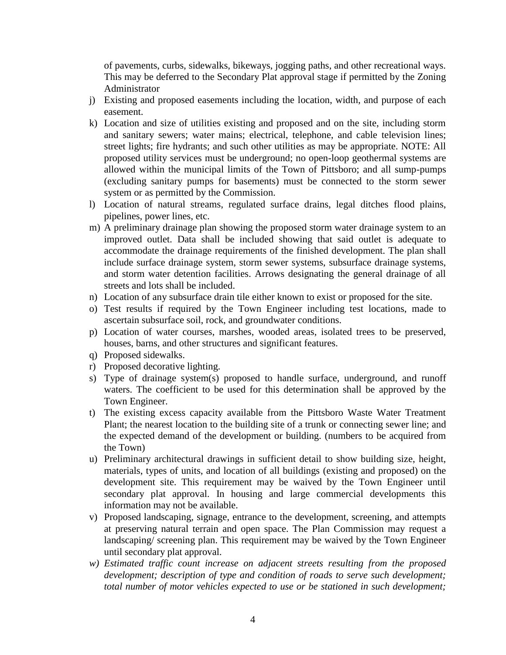of pavements, curbs, sidewalks, bikeways, jogging paths, and other recreational ways. This may be deferred to the Secondary Plat approval stage if permitted by the Zoning Administrator

- j) Existing and proposed easements including the location, width, and purpose of each easement.
- k) Location and size of utilities existing and proposed and on the site, including storm and sanitary sewers; water mains; electrical, telephone, and cable television lines; street lights; fire hydrants; and such other utilities as may be appropriate. NOTE: All proposed utility services must be underground; no open-loop geothermal systems are allowed within the municipal limits of the Town of Pittsboro; and all sump-pumps (excluding sanitary pumps for basements) must be connected to the storm sewer system or as permitted by the Commission.
- l) Location of natural streams, regulated surface drains, legal ditches flood plains, pipelines, power lines, etc.
- m) A preliminary drainage plan showing the proposed storm water drainage system to an improved outlet. Data shall be included showing that said outlet is adequate to accommodate the drainage requirements of the finished development. The plan shall include surface drainage system, storm sewer systems, subsurface drainage systems, and storm water detention facilities. Arrows designating the general drainage of all streets and lots shall be included.
- n) Location of any subsurface drain tile either known to exist or proposed for the site.
- o) Test results if required by the Town Engineer including test locations, made to ascertain subsurface soil, rock, and groundwater conditions.
- p) Location of water courses, marshes, wooded areas, isolated trees to be preserved, houses, barns, and other structures and significant features.
- q) Proposed sidewalks.
- r) Proposed decorative lighting.
- s) Type of drainage system(s) proposed to handle surface, underground, and runoff waters. The coefficient to be used for this determination shall be approved by the Town Engineer.
- t) The existing excess capacity available from the Pittsboro Waste Water Treatment Plant; the nearest location to the building site of a trunk or connecting sewer line; and the expected demand of the development or building. (numbers to be acquired from the Town)
- u) Preliminary architectural drawings in sufficient detail to show building size, height, materials, types of units, and location of all buildings (existing and proposed) on the development site. This requirement may be waived by the Town Engineer until secondary plat approval. In housing and large commercial developments this information may not be available.
- v) Proposed landscaping, signage, entrance to the development, screening, and attempts at preserving natural terrain and open space. The Plan Commission may request a landscaping/ screening plan. This requirement may be waived by the Town Engineer until secondary plat approval.
- *w) Estimated traffic count increase on adjacent streets resulting from the proposed development; description of type and condition of roads to serve such development; total number of motor vehicles expected to use or be stationed in such development;*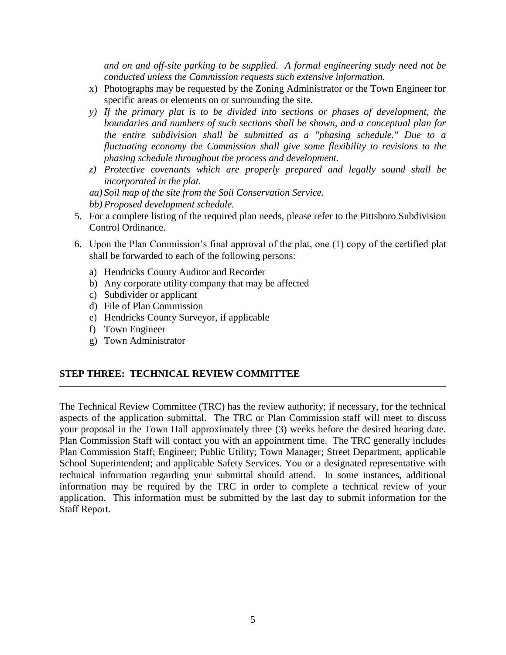*and on and off-site parking to be supplied. A formal engineering study need not be conducted unless the Commission requests such extensive information.*

- x) Photographs may be requested by the Zoning Administrator or the Town Engineer for specific areas or elements on or surrounding the site.
- *y) If the primary plat is to be divided into sections or phases of development, the boundaries and numbers of such sections shall be shown, and a conceptual plan for the entire subdivision shall be submitted as a "phasing schedule." Due to a fluctuating economy the Commission shall give some flexibility to revisions to the phasing schedule throughout the process and development.*
- *z) Protective covenants which are properly prepared and legally sound shall be incorporated in the plat.*
- *aa) Soil map of the site from the Soil Conservation Service.*
- *bb) Proposed development schedule.*
- 5. For a complete listing of the required plan needs, please refer to the Pittsboro Subdivision Control Ordinance.
- 6. Upon the Plan Commission's final approval of the plat, one (1) copy of the certified plat shall be forwarded to each of the following persons:
	- a) Hendricks County Auditor and Recorder
	- b) Any corporate utility company that may be affected
	- c) Subdivider or applicant
	- d) File of Plan Commission
	- e) Hendricks County Surveyor, if applicable
	- f) Town Engineer
	- g) Town Administrator

#### **STEP THREE: TECHNICAL REVIEW COMMITTEE**

The Technical Review Committee (TRC) has the review authority; if necessary, for the technical aspects of the application submittal. The TRC or Plan Commission staff will meet to discuss your proposal in the Town Hall approximately three (3) weeks before the desired hearing date. Plan Commission Staff will contact you with an appointment time. The TRC generally includes Plan Commission Staff; Engineer; Public Utility; Town Manager; Street Department, applicable School Superintendent; and applicable Safety Services. You or a designated representative with technical information regarding your submittal should attend. In some instances, additional information may be required by the TRC in order to complete a technical review of your application. This information must be submitted by the last day to submit information for the Staff Report.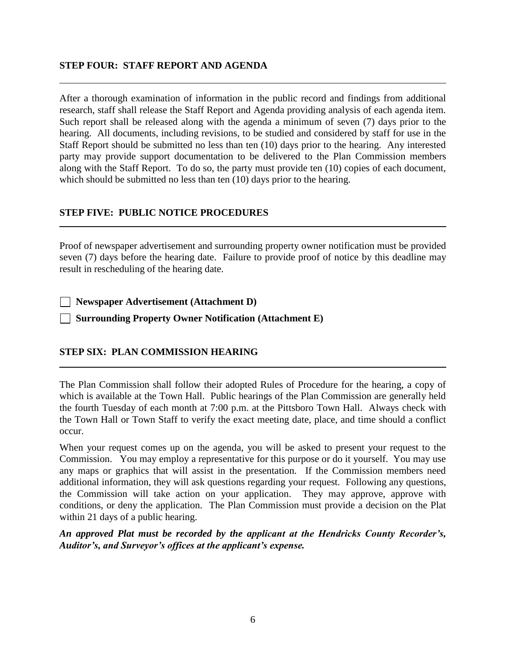#### **STEP FOUR: STAFF REPORT AND AGENDA**

After a thorough examination of information in the public record and findings from additional research, staff shall release the Staff Report and Agenda providing analysis of each agenda item. Such report shall be released along with the agenda a minimum of seven (7) days prior to the hearing. All documents, including revisions, to be studied and considered by staff for use in the Staff Report should be submitted no less than ten (10) days prior to the hearing. Any interested party may provide support documentation to be delivered to the Plan Commission members along with the Staff Report. To do so, the party must provide ten (10) copies of each document, which should be submitted no less than ten (10) days prior to the hearing.

#### **STEP FIVE: PUBLIC NOTICE PROCEDURES**

Proof of newspaper advertisement and surrounding property owner notification must be provided seven (7) days before the hearing date. Failure to provide proof of notice by this deadline may result in rescheduling of the hearing date.

**Newspaper Advertisement (Attachment D)**

**Surrounding Property Owner Notification (Attachment E)**

#### **STEP SIX: PLAN COMMISSION HEARING**

The Plan Commission shall follow their adopted Rules of Procedure for the hearing, a copy of which is available at the Town Hall. Public hearings of the Plan Commission are generally held the fourth Tuesday of each month at 7:00 p.m. at the Pittsboro Town Hall. Always check with the Town Hall or Town Staff to verify the exact meeting date, place, and time should a conflict occur.

When your request comes up on the agenda, you will be asked to present your request to the Commission. You may employ a representative for this purpose or do it yourself. You may use any maps or graphics that will assist in the presentation. If the Commission members need additional information, they will ask questions regarding your request. Following any questions, the Commission will take action on your application. They may approve, approve with conditions, or deny the application. The Plan Commission must provide a decision on the Plat within 21 days of a public hearing.

*An approved Plat must be recorded by the applicant at the Hendricks County Recorder's, Auditor's, and Surveyor's offices at the applicant's expense.*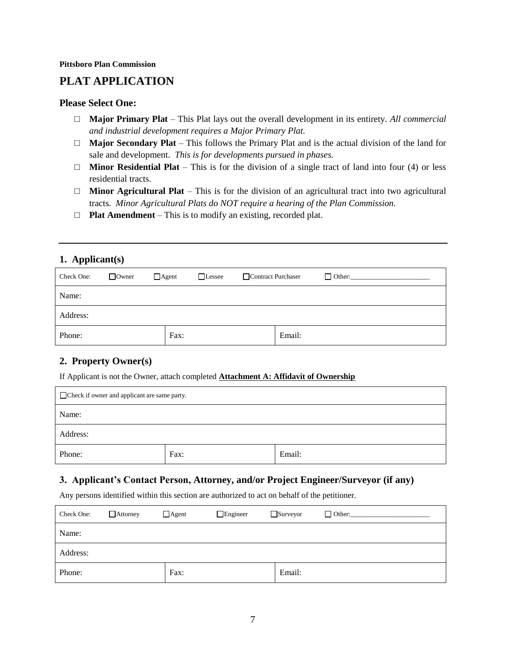## **PLAT APPLICATION**

#### **Please Select One:**

- □ **Major Primary Plat** This Plat lays out the overall development in its entirety. *All commercial and industrial development requires a Major Primary Plat.*
- □ **Major Secondary Plat** This follows the Primary Plat and is the actual division of the land for sale and development. *This is for developments pursued in phases.*
- $\Box$  **Minor Residential Plat** This is for the division of a single tract of land into four (4) or less residential tracts.
- □ **Minor Agricultural Plat** This is for the division of an agricultural tract into two agricultural tracts. *Minor Agricultural Plats do NOT require a hearing of the Plan Commission.*
- □ **Plat Amendment** This is to modify an existing, recorded plat.

#### **1. Applicant(s)**

| Check One: | $\Box$ Owner | $\Box$ Agent<br>$\Box$ Lessee | Contract Purchaser |        | $\Box$ Other: |
|------------|--------------|-------------------------------|--------------------|--------|---------------|
| Name:      |              |                               |                    |        |               |
| Address:   |              |                               |                    |        |               |
| Phone:     |              | Fax:                          |                    | Email: |               |

#### **2. Property Owner(s)**

If Applicant is not the Owner, attach completed **Attachment A: Affidavit of Ownership**

| Check if owner and applicant are same party. |      |        |  |
|----------------------------------------------|------|--------|--|
| Name:                                        |      |        |  |
| Address:                                     |      |        |  |
| Phone:                                       | Fax: | Email: |  |

#### **3. Applicant's Contact Person, Attorney, and/or Project Engineer/Surveyor (if any)**

Any persons identified within this section are authorized to act on behalf of the petitioner.

| Check One: | $\Box$ Attorney | $\Box$ Agent | $\Box$ Engineer | $\Box$ Surveyor | $\Box$ Other: |
|------------|-----------------|--------------|-----------------|-----------------|---------------|
| Name:      |                 |              |                 |                 |               |
| Address:   |                 |              |                 |                 |               |
| Phone:     |                 | Fax:         |                 | Email:          |               |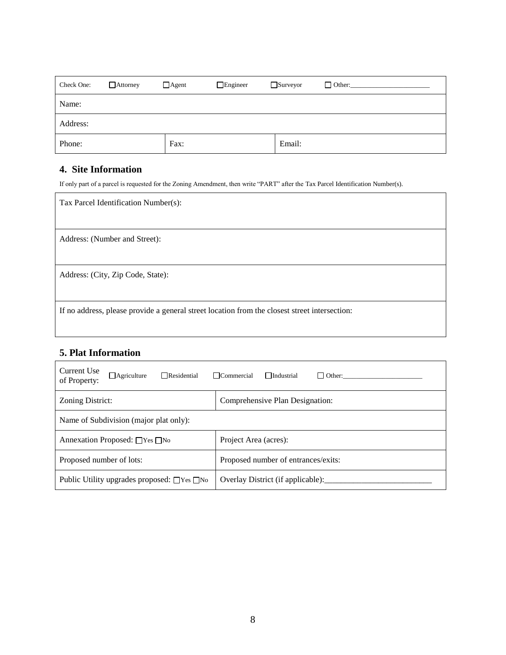| Check One: | $\Box$ Attorney | $\Box$ Agent | $\Box$ Engineer | $\Box$ Surveyor | $\Box$ Other: |
|------------|-----------------|--------------|-----------------|-----------------|---------------|
| Name:      |                 |              |                 |                 |               |
| Address:   |                 |              |                 |                 |               |
| Phone:     |                 | Fax:         |                 | Email:          |               |

## **4. Site Information**

If only part of a parcel is requested for the Zoning Amendment, then write "PART" after the Tax Parcel Identification Number(s).

| Tax Parcel Identification Number(s):                                                          |
|-----------------------------------------------------------------------------------------------|
| Address: (Number and Street):                                                                 |
| Address: (City, Zip Code, State):                                                             |
| If no address, please provide a general street location from the closest street intersection: |

## **5. Plat Information**

| Current Use<br>$\Box$ Agriculture<br>$\Box$ Residential<br>of Property: | $\Box$ Commercial<br>$\Box$ Industrial |  |  |  |
|-------------------------------------------------------------------------|----------------------------------------|--|--|--|
| Zoning District:                                                        | Comprehensive Plan Designation:        |  |  |  |
| Name of Subdivision (major plat only):                                  |                                        |  |  |  |
| Annexation Proposed: $\Box$ Yes $\Box$ No                               | Project Area (acres):                  |  |  |  |
| Proposed number of lots:                                                | Proposed number of entrances/exits:    |  |  |  |
| Public Utility upgrades proposed: $\Box$ Yes $\Box$ No                  | Overlay District (if applicable):      |  |  |  |